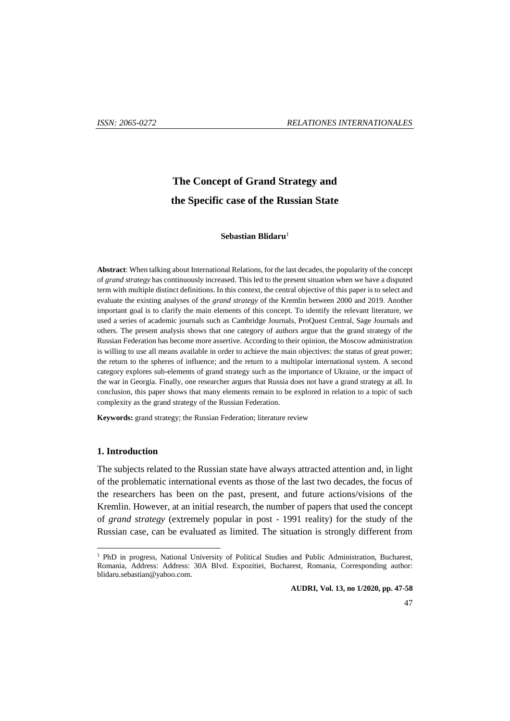# **The Concept of Grand Strategy and the Specific case of the Russian State**

#### **Sebastian Blidaru**<sup>1</sup>

**Abstract**: When talking about International Relations, for the last decades, the popularity of the concept of *grand strategy* has continuously increased. This led to the present situation when we have a disputed term with multiple distinct definitions. In this context, the central objective of this paper is to select and evaluate the existing analyses of the *grand strategy* of the Kremlin between 2000 and 2019. Another important goal is to clarify the main elements of this concept. To identify the relevant literature, we used a series of academic journals such as Cambridge Journals, ProQuest Central, Sage Journals and others. The present analysis shows that one category of authors argue that the grand strategy of the Russian Federation has become more assertive. According to their opinion, the Moscow administration is willing to use all means available in order to achieve the main objectives: the status of great power; the return to the spheres of influence; and the return to a multipolar international system. A second category explores sub-elements of grand strategy such as the importance of Ukraine, or the impact of the war in Georgia. Finally, one researcher argues that Russia does not have a grand strategy at all. In conclusion, this paper shows that many elements remain to be explored in relation to a topic of such complexity as the grand strategy of the Russian Federation.

**Keywords:** grand strategy; the Russian Federation; literature review

#### **1. Introduction**

 $\overline{a}$ 

The subjects related to the Russian state have always attracted attention and, in light of the problematic international events as those of the last two decades, the focus of the researchers has been on the past, present, and future actions/visions of the Kremlin. However, at an initial research, the number of papers that used the concept of *grand strategy* (extremely popular in post - 1991 reality) for the study of the Russian case, can be evaluated as limited. The situation is strongly different from

<sup>&</sup>lt;sup>1</sup> PhD in progress, National University of Political Studies and Public Administration, Bucharest, Romania, Address: Address: 30A Blvd. Expozitiei, Bucharest, Romania, Corresponding author: blidaru.sebastian@yahoo.com.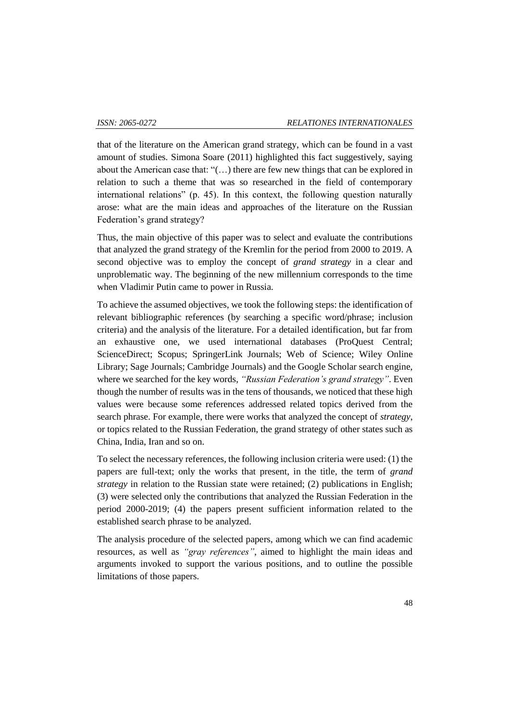that of the literature on the American grand strategy, which can be found in a vast amount of studies. Simona Soare (2011) highlighted this fact suggestively, saying about the American case that: "(…) there are few new things that can be explored in relation to such a theme that was so researched in the field of contemporary international relations" (p. 45). In this context, the following question naturally arose: what are the main ideas and approaches of the literature on the Russian Federation's grand strategy?

Thus, the main objective of this paper was to select and evaluate the contributions that analyzed the grand strategy of the Kremlin for the period from 2000 to 2019. A second objective was to employ the concept of *grand strategy* in a clear and unproblematic way. The beginning of the new millennium corresponds to the time when Vladimir Putin came to power in Russia.

To achieve the assumed objectives, we took the following steps: the identification of relevant bibliographic references (by searching a specific word/phrase; inclusion criteria) and the analysis of the literature. For a detailed identification, but far from an exhaustive one, we used international databases (ProQuest Central; ScienceDirect; Scopus; SpringerLink Journals; Web of Science; Wiley Online Library; Sage Journals; Cambridge Journals) and the Google Scholar search engine, where we searched for the key words, *"Russian Federation's grand strategy"*. Even though the number of results was in the tens of thousands, we noticed that these high values were because some references addressed related topics derived from the search phrase. For example, there were works that analyzed the concept of *strategy*, or topics related to the Russian Federation, the grand strategy of other states such as China, India, Iran and so on.

To select the necessary references, the following inclusion criteria were used: (1) the papers are full-text; only the works that present, in the title, the term of *grand strategy* in relation to the Russian state were retained; (2) publications in English; (3) were selected only the contributions that analyzed the Russian Federation in the period 2000-2019; (4) the papers present sufficient information related to the established search phrase to be analyzed.

The analysis procedure of the selected papers, among which we can find academic resources, as well as *"gray references"*, aimed to highlight the main ideas and arguments invoked to support the various positions, and to outline the possible limitations of those papers.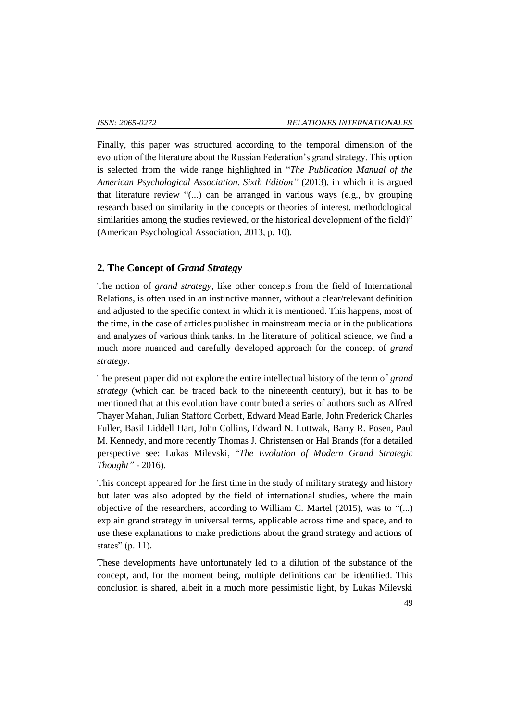Finally, this paper was structured according to the temporal dimension of the evolution of the literature about the Russian Federation's grand strategy. This option is selected from the wide range highlighted in "*The Publication Manual of the American Psychological Association. Sixth Edition"* (2013), in which it is argued that literature review "(...) can be arranged in various ways (e.g., by grouping research based on similarity in the concepts or theories of interest, methodological similarities among the studies reviewed, or the historical development of the field)" (American Psychological Association, 2013, p. 10).

## **2. The Concept of** *Grand Strategy*

The notion of *grand strategy*, like other concepts from the field of International Relations, is often used in an instinctive manner, without a clear/relevant definition and adjusted to the specific context in which it is mentioned. This happens, most of the time, in the case of articles published in mainstream media or in the publications and analyzes of various think tanks. In the literature of political science, we find a much more nuanced and carefully developed approach for the concept of *grand strategy*.

The present paper did not explore the entire intellectual history of the term of *grand strategy* (which can be traced back to the nineteenth century), but it has to be mentioned that at this evolution have contributed a series of authors such as Alfred Thayer Mahan, Julian Stafford Corbett, Edward Mead Earle, John Frederick Charles Fuller, Basil Liddell Hart, John Collins, Edward N. Luttwak, Barry R. Posen, Paul M. Kennedy, and more recently Thomas J. Christensen or Hal Brands (for a detailed perspective see: Lukas Milevski, "*The Evolution of Modern Grand Strategic Thought"* - 2016).

This concept appeared for the first time in the study of military strategy and history but later was also adopted by the field of international studies, where the main objective of the researchers, according to William C. Martel (2015), was to "(...) explain grand strategy in universal terms, applicable across time and space, and to use these explanations to make predictions about the grand strategy and actions of states" (p. 11).

These developments have unfortunately led to a dilution of the substance of the concept, and, for the moment being, multiple definitions can be identified. This conclusion is shared, albeit in a much more pessimistic light, by Lukas Milevski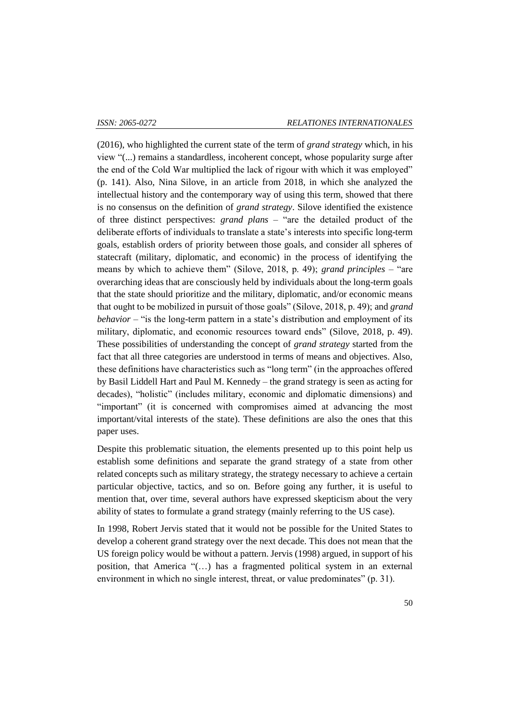(2016), who highlighted the current state of the term of *grand strategy* which, in his view "(...) remains a standardless, incoherent concept, whose popularity surge after the end of the Cold War multiplied the lack of rigour with which it was employed" (p. 141). Also, Nina Silove, in an article from 2018, in which she analyzed the intellectual history and the contemporary way of using this term, showed that there is no consensus on the definition of *grand strategy*. Silove identified the existence of three distinct perspectives: *grand plans* – "are the detailed product of the deliberate efforts of individuals to translate a state's interests into specific long-term goals, establish orders of priority between those goals, and consider all spheres of statecraft (military, diplomatic, and economic) in the process of identifying the means by which to achieve them" (Silove, 2018, p. 49); *grand principles –* "are overarching ideas that are consciously held by individuals about the long-term goals that the state should prioritize and the military, diplomatic, and/or economic means that ought to be mobilized in pursuit of those goals" (Silove, 2018, p. 49); and *grand behavior –* "is the long-term pattern in a state's distribution and employment of its military, diplomatic, and economic resources toward ends" (Silove, 2018, p. 49). These possibilities of understanding the concept of *grand strategy* started from the fact that all three categories are understood in terms of means and objectives. Also, these definitions have characteristics such as "long term" (in the approaches offered by Basil Liddell Hart and Paul M. Kennedy – the grand strategy is seen as acting for decades), "holistic" (includes military, economic and diplomatic dimensions) and "important" (it is concerned with compromises aimed at advancing the most important/vital interests of the state). These definitions are also the ones that this paper uses.

Despite this problematic situation, the elements presented up to this point help us establish some definitions and separate the grand strategy of a state from other related concepts such as military strategy, the strategy necessary to achieve a certain particular objective, tactics, and so on. Before going any further, it is useful to mention that, over time, several authors have expressed skepticism about the very ability of states to formulate a grand strategy (mainly referring to the US case).

In 1998, Robert Jervis stated that it would not be possible for the United States to develop a coherent grand strategy over the next decade. This does not mean that the US foreign policy would be without a pattern. Jervis (1998) argued, in support of his position, that America "(…) has a fragmented political system in an external environment in which no single interest, threat, or value predominates" (p. 31).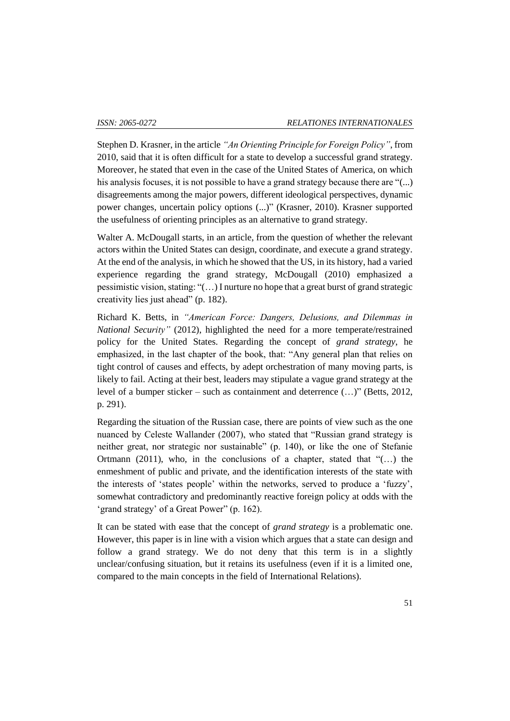Stephen D. Krasner, in the article *"An Orienting Principle for Foreign Policy"*, from 2010, said that it is often difficult for a state to develop a successful grand strategy. Moreover, he stated that even in the case of the United States of America, on which his analysis focuses, it is not possible to have a grand strategy because there are "(...) disagreements among the major powers, different ideological perspectives, dynamic power changes, uncertain policy options (...)" (Krasner, 2010). Krasner supported the usefulness of orienting principles as an alternative to grand strategy.

Walter A. McDougall starts, in an article, from the question of whether the relevant actors within the United States can design, coordinate, and execute a grand strategy. At the end of the analysis, in which he showed that the US, in its history, had a varied experience regarding the grand strategy, McDougall (2010) emphasized a pessimistic vision, stating: "(…) I nurture no hope that a great burst of grand strategic creativity lies just ahead" (p. 182).

Richard K. Betts, in *"American Force: Dangers, Delusions, and Dilemmas in National Security"* (2012), highlighted the need for a more temperate/restrained policy for the United States. Regarding the concept of *grand strategy*, he emphasized, in the last chapter of the book, that: "Any general plan that relies on tight control of causes and effects, by adept orchestration of many moving parts, is likely to fail. Acting at their best, leaders may stipulate a vague grand strategy at the level of a bumper sticker – such as containment and deterrence (…)" (Betts, 2012, p. 291).

Regarding the situation of the Russian case, there are points of view such as the one nuanced by Celeste Wallander (2007), who stated that "Russian grand strategy is neither great, nor strategic nor sustainable" (p. 140), or like the one of Stefanie Ortmann (2011), who, in the conclusions of a chapter, stated that " $(\ldots)$  the enmeshment of public and private, and the identification interests of the state with the interests of 'states people' within the networks, served to produce a 'fuzzy', somewhat contradictory and predominantly reactive foreign policy at odds with the 'grand strategy' of a Great Power" (p. 162).

It can be stated with ease that the concept of *grand strategy* is a problematic one. However, this paper is in line with a vision which argues that a state can design and follow a grand strategy. We do not deny that this term is in a slightly unclear/confusing situation, but it retains its usefulness (even if it is a limited one, compared to the main concepts in the field of International Relations).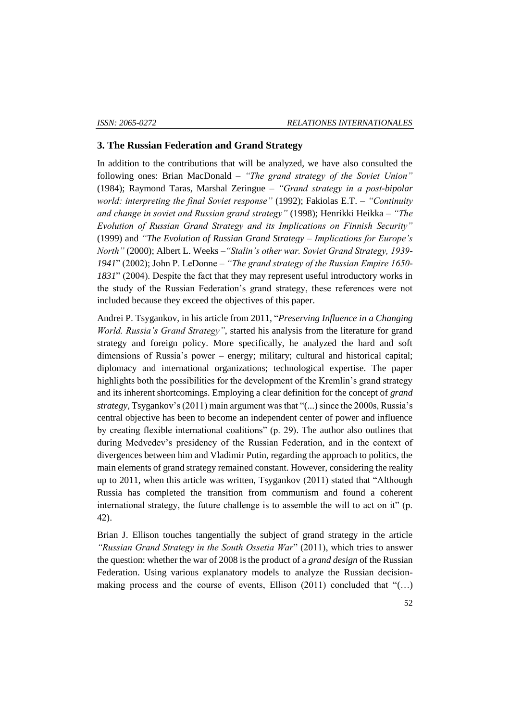#### **3. The Russian Federation and Grand Strategy**

In addition to the contributions that will be analyzed, we have also consulted the following ones: Brian MacDonald – *"The grand strategy of the Soviet Union"* (1984); Raymond Taras, Marshal Zeringue – *"Grand strategy in a post-bipolar world: interpreting the final Soviet response"* (1992); Fakiolas E.T. – *"Continuity and change in soviet and Russian grand strategy"* (1998); Henrikki Heikka – *"The Evolution of Russian Grand Strategy and its Implications on Finnish Security"*  (1999) and *"The Evolution of Russian Grand Strategy – Implications for Europe's North"* (2000); Albert L. Weeks –*"Stalin's other war. Soviet Grand Strategy, 1939- 1941*" (2002); John P. LeDonne – *"The grand strategy of the Russian Empire 1650- 1831*" (2004). Despite the fact that they may represent useful introductory works in the study of the Russian Federation's grand strategy, these references were not included because they exceed the objectives of this paper.

Andrei P. Tsygankov, in his article from 2011, "*Preserving Influence in a Changing World. Russia's Grand Strategy"*, started his analysis from the literature for grand strategy and foreign policy. More specifically, he analyzed the hard and soft dimensions of Russia's power – energy; military; cultural and historical capital; diplomacy and international organizations; technological expertise. The paper highlights both the possibilities for the development of the Kremlin's grand strategy and its inherent shortcomings. Employing a clear definition for the concept of *grand strategy,* Tsygankov's (2011) main argument was that "(...) since the 2000s, Russia's central objective has been to become an independent center of power and influence by creating flexible international coalitions" (p. 29). The author also outlines that during Medvedev's presidency of the Russian Federation, and in the context of divergences between him and Vladimir Putin, regarding the approach to politics, the main elements of grand strategy remained constant. However, considering the reality up to 2011, when this article was written, Tsygankov (2011) stated that "Although Russia has completed the transition from communism and found a coherent international strategy, the future challenge is to assemble the will to act on it" (p. 42).

Brian J. Ellison touches tangentially the subject of grand strategy in the article *"Russian Grand Strategy in the South Ossetia War*" (2011), which tries to answer the question: whether the war of 2008 is the product of a *grand design* of the Russian Federation. Using various explanatory models to analyze the Russian decisionmaking process and the course of events, Ellison (2011) concluded that "(…)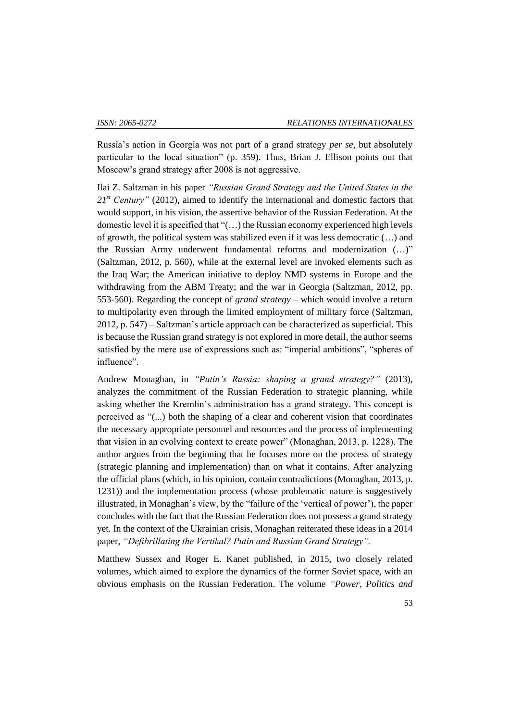Russia's action in Georgia was not part of a grand strategy *per se*, but absolutely particular to the local situation" (p. 359). Thus, Brian J. Ellison points out that Moscow's grand strategy after 2008 is not aggressive.

Ilai Z. Saltzman in his paper *"Russian Grand Strategy and the United States in the*  21<sup>*st*</sup> *Century*" (2012), aimed to identify the international and domestic factors that would support, in his vision, the assertive behavior of the Russian Federation. At the domestic level it is specified that "(…) the Russian economy experienced high levels of growth, the political system was stabilized even if it was less democratic (…) and the Russian Army underwent fundamental reforms and modernization (…)" (Saltzman, 2012, p. 560), while at the external level are invoked elements such as the Iraq War; the American initiative to deploy NMD systems in Europe and the withdrawing from the ABM Treaty; and the war in Georgia (Saltzman, 2012, pp. 553-560). Regarding the concept of *grand strategy* – which would involve a return to multipolarity even through the limited employment of military force (Saltzman, 2012, p. 547) – Saltzman's article approach can be characterized as superficial. This is because the Russian grand strategy is not explored in more detail, the author seems satisfied by the mere use of expressions such as: "imperial ambitions", "spheres of influence".

Andrew Monaghan, in *"Putin's Russia: shaping a grand strategy?"* (2013), analyzes the commitment of the Russian Federation to strategic planning, while asking whether the Kremlin's administration has a grand strategy. This concept is perceived as "(...) both the shaping of a clear and coherent vision that coordinates the necessary appropriate personnel and resources and the process of implementing that vision in an evolving context to create power" (Monaghan, 2013, p. 1228). The author argues from the beginning that he focuses more on the process of strategy (strategic planning and implementation) than on what it contains. After analyzing the official plans (which, in his opinion, contain contradictions (Monaghan, 2013, p. 1231)) and the implementation process (whose problematic nature is suggestively illustrated, in Monaghan's view, by the "failure of the 'vertical of power'), the paper concludes with the fact that the Russian Federation does not possess a grand strategy yet. In the context of the Ukrainian crisis, Monaghan reiterated these ideas in a 2014 paper, *"Defibrillating the Vertikal? Putin and Russian Grand Strategy".*

Matthew Sussex and Roger E. Kanet published, in 2015, two closely related volumes, which aimed to explore the dynamics of the former Soviet space, with an obvious emphasis on the Russian Federation. The volume *"Power, Politics and*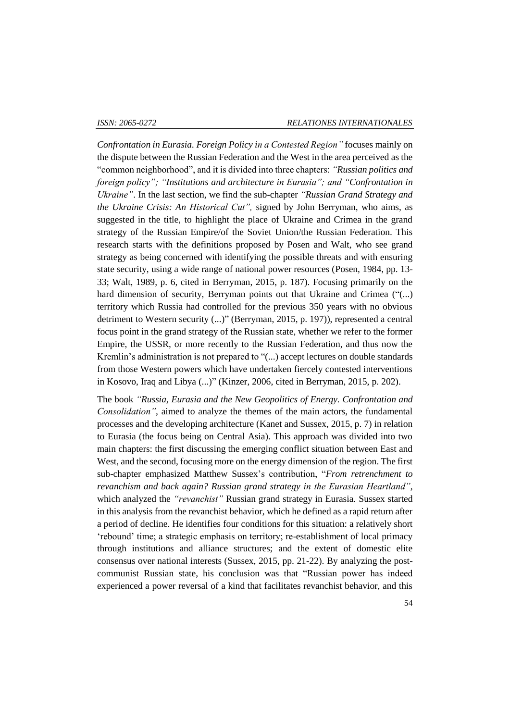*Confrontation in Eurasia. Foreign Policy in a Contested Region"* focuses mainly on the dispute between the Russian Federation and the West in the area perceived as the "common neighborhood", and it is divided into three chapters: *"Russian politics and foreign policy"; "Institutions and architecture in Eurasia"; and "Confrontation in Ukraine"*. In the last section, we find the sub-chapter *"Russian Grand Strategy and the Ukraine Crisis: An Historical Cut",* signed by John Berryman, who aims, as suggested in the title, to highlight the place of Ukraine and Crimea in the grand strategy of the Russian Empire/of the Soviet Union/the Russian Federation. This research starts with the definitions proposed by Posen and Walt, who see grand strategy as being concerned with identifying the possible threats and with ensuring state security, using a wide range of national power resources (Posen, 1984, pp. 13- 33; Walt, 1989, p. 6, cited in Berryman, 2015, p. 187). Focusing primarily on the hard dimension of security, Berryman points out that Ukraine and Crimea ("(...) territory which Russia had controlled for the previous 350 years with no obvious detriment to Western security (...)" (Berryman, 2015, p. 197)), represented a central focus point in the grand strategy of the Russian state, whether we refer to the former Empire, the USSR, or more recently to the Russian Federation, and thus now the Kremlin's administration is not prepared to "(...) accept lectures on double standards from those Western powers which have undertaken fiercely contested interventions in Kosovo, Iraq and Libya (...)" (Kinzer, 2006, cited in Berryman, 2015, p. 202).

The book *"Russia, Eurasia and the New Geopolitics of Energy. Confrontation and Consolidation"*, aimed to analyze the themes of the main actors, the fundamental processes and the developing architecture (Kanet and Sussex, 2015, p. 7) in relation to Eurasia (the focus being on Central Asia). This approach was divided into two main chapters: the first discussing the emerging conflict situation between East and West, and the second, focusing more on the energy dimension of the region. The first sub-chapter emphasized Matthew Sussex's contribution, "*From retrenchment to revanchism and back again? Russian grand strategy in the Eurasian Heartland"*, which analyzed the *"revanchist"* Russian grand strategy in Eurasia. Sussex started in this analysis from the revanchist behavior, which he defined as a rapid return after a period of decline. He identifies four conditions for this situation: a relatively short 'rebound' time; a strategic emphasis on territory; re-establishment of local primacy through institutions and alliance structures; and the extent of domestic elite consensus over national interests (Sussex, 2015, pp. 21-22). By analyzing the postcommunist Russian state, his conclusion was that "Russian power has indeed experienced a power reversal of a kind that facilitates revanchist behavior, and this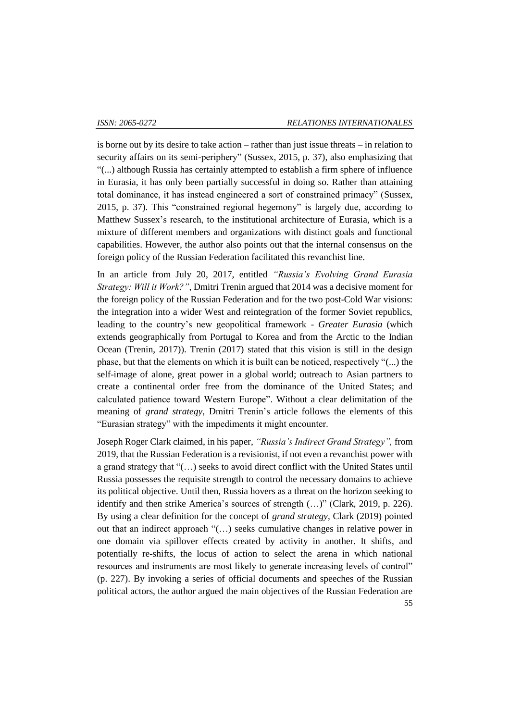is borne out by its desire to take action – rather than just issue threats – in relation to security affairs on its semi-periphery" (Sussex, 2015, p. 37), also emphasizing that "(...) although Russia has certainly attempted to establish a firm sphere of influence in Eurasia, it has only been partially successful in doing so. Rather than attaining total dominance, it has instead engineered a sort of constrained primacy" (Sussex, 2015, p. 37). This "constrained regional hegemony" is largely due, according to Matthew Sussex's research, to the institutional architecture of Eurasia, which is a mixture of different members and organizations with distinct goals and functional capabilities. However, the author also points out that the internal consensus on the foreign policy of the Russian Federation facilitated this revanchist line.

In an article from July 20, 2017, entitled *"Russia's Evolving Grand Eurasia Strategy: Will it Work?"*, Dmitri Trenin argued that 2014 was a decisive moment for the foreign policy of the Russian Federation and for the two post-Cold War visions: the integration into a wider West and reintegration of the former Soviet republics, leading to the country's new geopolitical framework - *Greater Eurasia* (which extends geographically from Portugal to Korea and from the Arctic to the Indian Ocean (Trenin, 2017)). Trenin (2017) stated that this vision is still in the design phase, but that the elements on which it is built can be noticed, respectively "(...) the self-image of alone, great power in a global world; outreach to Asian partners to create a continental order free from the dominance of the United States; and calculated patience toward Western Europe". Without a clear delimitation of the meaning of *grand strategy*, Dmitri Trenin's article follows the elements of this "Eurasian strategy" with the impediments it might encounter.

Joseph Roger Clark claimed, in his paper, *"Russia's Indirect Grand Strategy",* from 2019, that the Russian Federation is a revisionist, if not even a revanchist power with a grand strategy that "(…) seeks to avoid direct conflict with the United States until Russia possesses the requisite strength to control the necessary domains to achieve its political objective. Until then, Russia hovers as a threat on the horizon seeking to identify and then strike America's sources of strength (…)" (Clark, 2019, p. 226). By using a clear definition for the concept of *grand strategy*, Clark (2019) pointed out that an indirect approach "(…) seeks cumulative changes in relative power in one domain via spillover effects created by activity in another. It shifts, and potentially re-shifts, the locus of action to select the arena in which national resources and instruments are most likely to generate increasing levels of control" (p. 227). By invoking a series of official documents and speeches of the Russian political actors, the author argued the main objectives of the Russian Federation are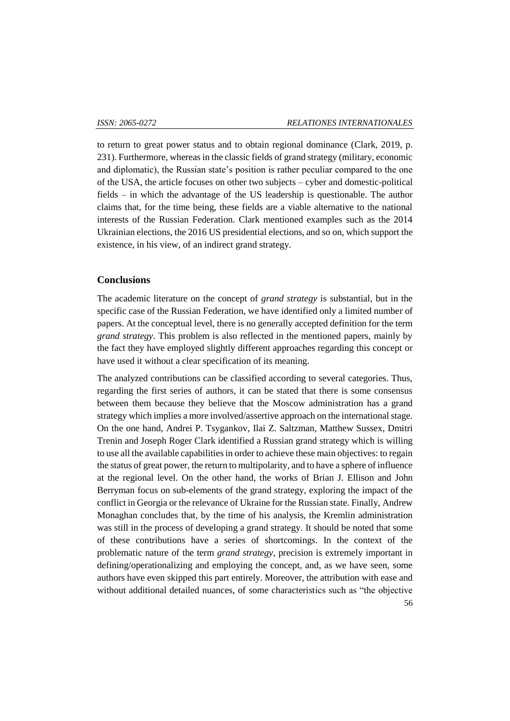to return to great power status and to obtain regional dominance (Clark, 2019, p. 231). Furthermore, whereas in the classic fields of grand strategy (military, economic and diplomatic), the Russian state's position is rather peculiar compared to the one of the USA, the article focuses on other two subjects – cyber and domestic-political fields – in which the advantage of the US leadership is questionable. The author claims that, for the time being, these fields are a viable alternative to the national interests of the Russian Federation. Clark mentioned examples such as the 2014 Ukrainian elections, the 2016 US presidential elections, and so on, which support the existence, in his view, of an indirect grand strategy.

#### **Conclusions**

The academic literature on the concept of *grand strategy* is substantial, but in the specific case of the Russian Federation, we have identified only a limited number of papers. At the conceptual level, there is no generally accepted definition for the term *grand strategy*. This problem is also reflected in the mentioned papers, mainly by the fact they have employed slightly different approaches regarding this concept or have used it without a clear specification of its meaning.

The analyzed contributions can be classified according to several categories. Thus, regarding the first series of authors, it can be stated that there is some consensus between them because they believe that the Moscow administration has a grand strategy which implies a more involved/assertive approach on the international stage. On the one hand, Andrei P. Tsygankov, Ilai Z. Saltzman, Matthew Sussex, Dmitri Trenin and Joseph Roger Clark identified a Russian grand strategy which is willing to use all the available capabilities in order to achieve these main objectives: to regain the status of great power, the return to multipolarity, and to have a sphere of influence at the regional level. On the other hand, the works of Brian J. Ellison and John Berryman focus on sub-elements of the grand strategy, exploring the impact of the conflict in Georgia or the relevance of Ukraine for the Russian state. Finally, Andrew Monaghan concludes that, by the time of his analysis, the Kremlin administration was still in the process of developing a grand strategy. It should be noted that some of these contributions have a series of shortcomings. In the context of the problematic nature of the term *grand strategy*, precision is extremely important in defining/operationalizing and employing the concept, and, as we have seen, some authors have even skipped this part entirely. Moreover, the attribution with ease and without additional detailed nuances, of some characteristics such as "the objective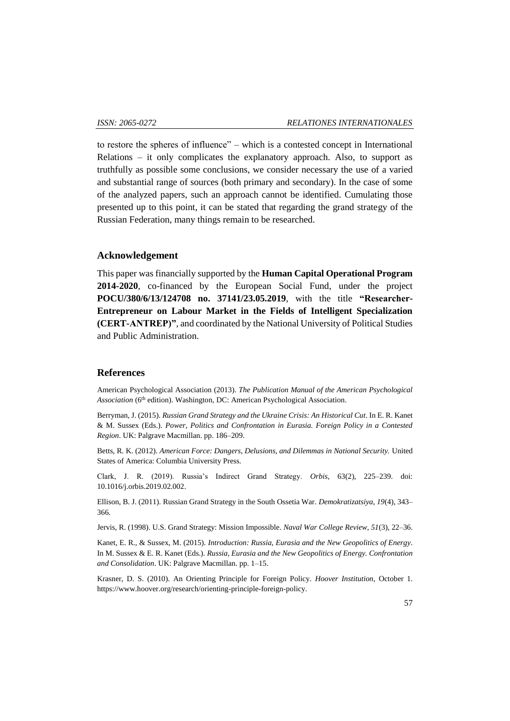to restore the spheres of influence" – which is a contested concept in International Relations – it only complicates the explanatory approach. Also, to support as truthfully as possible some conclusions, we consider necessary the use of a varied and substantial range of sources (both primary and secondary). In the case of some of the analyzed papers, such an approach cannot be identified. Cumulating those presented up to this point, it can be stated that regarding the grand strategy of the Russian Federation, many things remain to be researched.

#### **Acknowledgement**

This paper was financially supported by the **Human Capital Operational Program 2014-2020**, co-financed by the European Social Fund, under the project **POCU/380/6/13/124708 no. 37141/23.05.2019**, with the title **"Researcher-Entrepreneur on Labour Market in the Fields of Intelligent Specialization (CERT-ANTREP)"**, and coordinated by the National University of Political Studies and Public Administration.

### **References**

American Psychological Association (2013). *The Publication Manual of the American Psychological*  Association (6<sup>th</sup> edition). Washington, DC: American Psychological Association.

Berryman, J. (2015). *Russian Grand Strategy and the Ukraine Crisis: An Historical Cut*. In E. R. Kanet & M. Sussex (Eds.). *Power, Politics and Confrontation in Eurasia. Foreign Policy in a Contested Region*. UK: Palgrave Macmillan. pp. 186–209.

Betts, R. K. (2012). *American Force: Dangers, Delusions, and Dilemmas in National Security.* United States of America: Columbia University Press.

Clark, J. R. (2019). Russia's Indirect Grand Strategy. *Orbis*, 63(2), 225–239. doi: 10.1016/j.orbis.2019.02.002.

Ellison, B. J. (2011). Russian Grand Strategy in the South Ossetia War. *Demokratizatsiya, 19*(4), 343– 366.

Jervis, R. (1998). U.S. Grand Strategy: Mission Impossible. *Naval War College Review*, *51*(3), 22–36.

Kanet, E. R., & Sussex, M. (2015). *Introduction: Russia, Eurasia and the New Geopolitics of Energy*. In M. Sussex & E. R. Kanet (Eds.). *Russia, Eurasia and the New Geopolitics of Energy. Confrontation and Consolidation*. UK: Palgrave Macmillan. pp. 1–15.

Krasner, D. S. (2010). An Orienting Principle for Foreign Policy. *Hoover Institution*, October 1. https://www.hoover.org/research/orienting-principle-foreign-policy.